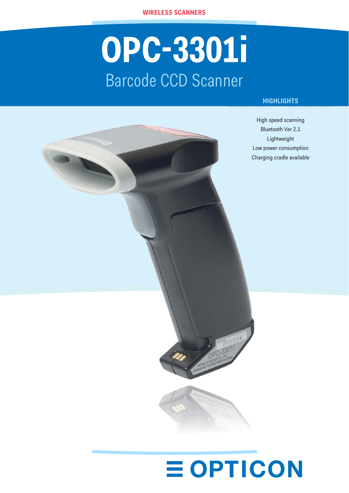# **OPC-3301i** Barcode CCD Scanner

### **HIGHLIGHTS**

High speed scanning Bluetooth Ver 2.1 Lightweight Low power consumption Charging cradle available